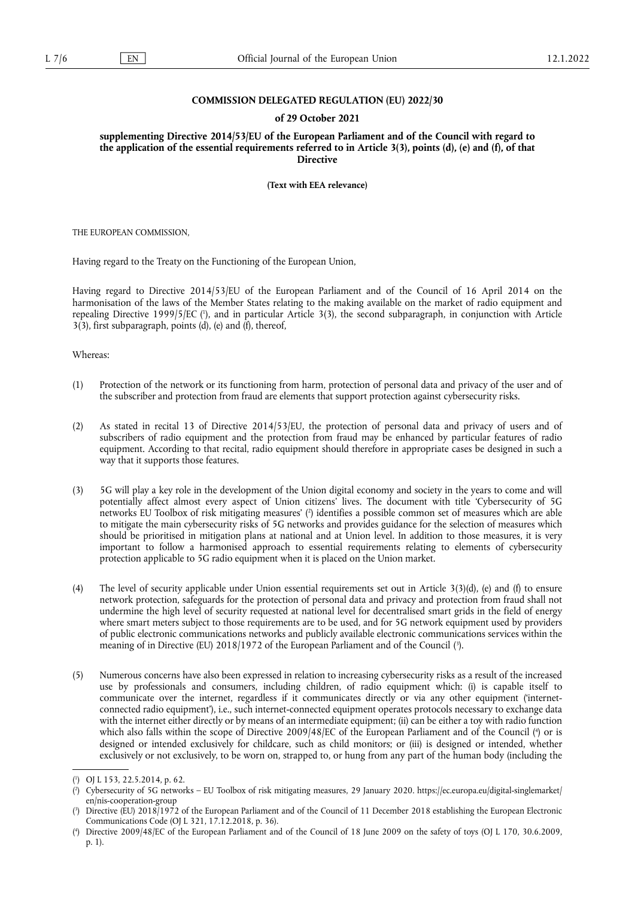# **COMMISSION DELEGATED REGULATION (EU) 2022/30**

## **of 29 October 2021**

**supplementing Directive 2014/53/EU of the European Parliament and of the Council with regard to the application of the essential requirements referred to in Article 3(3), points (d), (e) and (f), of that Directive** 

**(Text with EEA relevance)** 

THE EUROPEAN COMMISSION,

Having regard to the Treaty on the Functioning of the European Union,

<span id="page-0-4"></span>Having regard to Directive 2014/53/EU of the European Parliament and of the Council of 16 April 2014 on the harmonisation of the laws of the Member States relating to the making available on the market of radio equipment and repealing Directive 1999/5/EC [\(](#page-0-0) 1 ), and in particular Article 3(3), the second subparagraph, in conjunction with Article 3(3), first subparagraph, points (d), (e) and (f), thereof,

Whereas:

- (1) Protection of the network or its functioning from harm, protection of personal data and privacy of the user and of the subscriber and protection from fraud are elements that support protection against cybersecurity risks.
- (2) As stated in recital 13 of Directive 2014/53/EU, the protection of personal data and privacy of users and of subscribers of radio equipment and the protection from fraud may be enhanced by particular features of radio equipment. According to that recital, radio equipment should therefore in appropriate cases be designed in such a way that it supports those features.
- <span id="page-0-5"></span>(3) 5G will play a key role in the development of the Union digital economy and society in the years to come and will potentially affect almost every aspect of Union citizens' lives. The document with title 'Cybersecurity of 5G networks EU Toolbox of risk mitigating measures' [\(](#page-0-1) 2 ) identifies a possible common set of measures which are able to mitigate the main cybersecurity risks of 5G networks and provides guidance for the selection of measures which should be prioritised in mitigation plans at national and at Union level. In addition to those measures, it is very important to follow a harmonised approach to essential requirements relating to elements of cybersecurity protection applicable to 5G radio equipment when it is placed on the Union market.
- (4) The level of security applicable under Union essential requirements set out in Article 3(3)(d), (e) and (f) to ensure network protection, safeguards for the protection of personal data and privacy and protection from fraud shall not undermine the high level of security requested at national level for decentralised smart grids in the field of energy where smart meters subject to those requirements are to be used, and for 5G network equipment used by providers of public electronic communications networks and publicly available electronic communications services within the meaning of in Directive (EU) 2018/1972 of the European Parliament and of the Council ( 3 [\).](#page-0-2)
- <span id="page-0-7"></span><span id="page-0-6"></span>(5) Numerous concerns have also been expressed in relation to increasing cybersecurity risks as a result of the increased use by professionals and consumers, including children, of radio equipment which: (i) is capable itself to communicate over the internet, regardless if it communicates directly or via any other equipment ('internetconnected radio equipment'), i.e., such internet-connected equipment operates protocols necessary to exchange data with the internet either directly or by means of an intermediate equipment; (ii) can be either a toy with radio function which also falls within the scope of Directive 2009/48/EC of the European Parliament and of the Council [\(](#page-0-3)\*) or is designed or intended exclusively for childcare, such as child monitors; or (iii) is designed or intended, whether exclusively or not exclusively, to be worn on, strapped to, or hung from any part of the human body (including the

<span id="page-0-0"></span>[<sup>\(</sup>](#page-0-4) 1 ) OJ L 153, 22.5.2014, p. 62.

<span id="page-0-1"></span>[<sup>\(</sup>](#page-0-5) 2 ) Cybersecurity of 5G networks – EU Toolbox of risk mitigating measures, 29 January 2020. [https://ec.europa.eu/digital-singlemarket/](https://ec.europa.eu/digital-singlemarket/en/nis-cooperation-group) [en/nis-cooperation-group](https://ec.europa.eu/digital-singlemarket/en/nis-cooperation-group)

<span id="page-0-2"></span>[<sup>\(</sup>](#page-0-6) 3 ) Directive (EU) 2018/1972 of the European Parliament and of the Council of 11 December 2018 establishing the European Electronic Communications Code (OJ L 321, 17.12.2018, p. 36).

<span id="page-0-3"></span>[<sup>\(</sup>](#page-0-7) 4 ) Directive 2009/48/EC of the European Parliament and of the Council of 18 June 2009 on the safety of toys (OJ L 170, 30.6.2009, p. 1).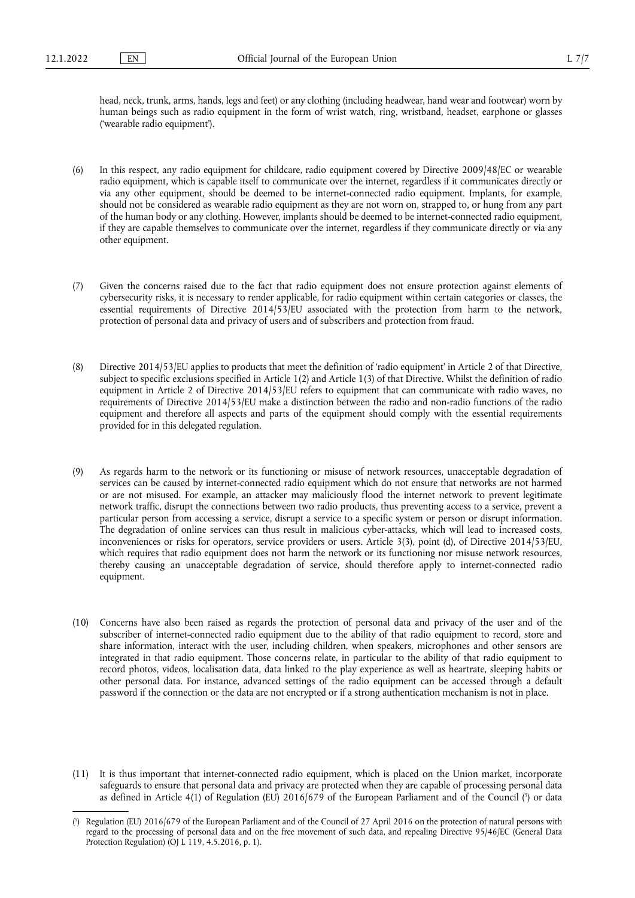head, neck, trunk, arms, hands, legs and feet) or any clothing (including headwear, hand wear and footwear) worn by human beings such as radio equipment in the form of wrist watch, ring, wristband, headset, earphone or glasses ('wearable radio equipment').

- (6) In this respect, any radio equipment for childcare, radio equipment covered by Directive 2009/48/EC or wearable radio equipment, which is capable itself to communicate over the internet, regardless if it communicates directly or via any other equipment, should be deemed to be internet-connected radio equipment. Implants, for example, should not be considered as wearable radio equipment as they are not worn on, strapped to, or hung from any part of the human body or any clothing. However, implants should be deemed to be internet-connected radio equipment, if they are capable themselves to communicate over the internet, regardless if they communicate directly or via any other equipment.
- (7) Given the concerns raised due to the fact that radio equipment does not ensure protection against elements of cybersecurity risks, it is necessary to render applicable, for radio equipment within certain categories or classes, the essential requirements of Directive 2014/53/EU associated with the protection from harm to the network, protection of personal data and privacy of users and of subscribers and protection from fraud.
- (8) Directive 2014/53/EU applies to products that meet the definition of 'radio equipment' in Article 2 of that Directive, subject to specific exclusions specified in Article 1(2) and Article 1(3) of that Directive. Whilst the definition of radio equipment in Article 2 of Directive 2014/53/EU refers to equipment that can communicate with radio waves, no requirements of Directive 2014/53/EU make a distinction between the radio and non-radio functions of the radio equipment and therefore all aspects and parts of the equipment should comply with the essential requirements provided for in this delegated regulation.
- (9) As regards harm to the network or its functioning or misuse of network resources, unacceptable degradation of services can be caused by internet-connected radio equipment which do not ensure that networks are not harmed or are not misused. For example, an attacker may maliciously flood the internet network to prevent legitimate network traffic, disrupt the connections between two radio products, thus preventing access to a service, prevent a particular person from accessing a service, disrupt a service to a specific system or person or disrupt information. The degradation of online services can thus result in malicious cyber-attacks, which will lead to increased costs, inconveniences or risks for operators, service providers or users. Article 3(3), point (d), of Directive 2014/53/EU, which requires that radio equipment does not harm the network or its functioning nor misuse network resources, thereby causing an unacceptable degradation of service, should therefore apply to internet-connected radio equipment.
- (10) Concerns have also been raised as regards the protection of personal data and privacy of the user and of the subscriber of internet-connected radio equipment due to the ability of that radio equipment to record, store and share information, interact with the user, including children, when speakers, microphones and other sensors are integrated in that radio equipment. Those concerns relate, in particular to the ability of that radio equipment to record photos, videos, localisation data, data linked to the play experience as well as heartrate, sleeping habits or other personal data. For instance, advanced settings of the radio equipment can be accessed through a default password if the connection or the data are not encrypted or if a strong authentication mechanism is not in place.
- <span id="page-1-1"></span>(11) It is thus important that internet-connected radio equipment, which is placed on the Union market, incorporate safeguards to ensure that personal data and privacy are protected when they are capable of processing personal data as defined in Article 4(1) of Regulation (EU) 2016/679 of the European Parliament and of the Council [\(](#page-1-0) 5 ) or data

<span id="page-1-0"></span>[<sup>\(</sup>](#page-1-1) 5 ) Regulation (EU) 2016/679 of the European Parliament and of the Council of 27 April 2016 on the protection of natural persons with regard to the processing of personal data and on the free movement of such data, and repealing Directive 95/46/EC (General Data Protection Regulation) (OJ L 119, 4.5.2016, p. 1).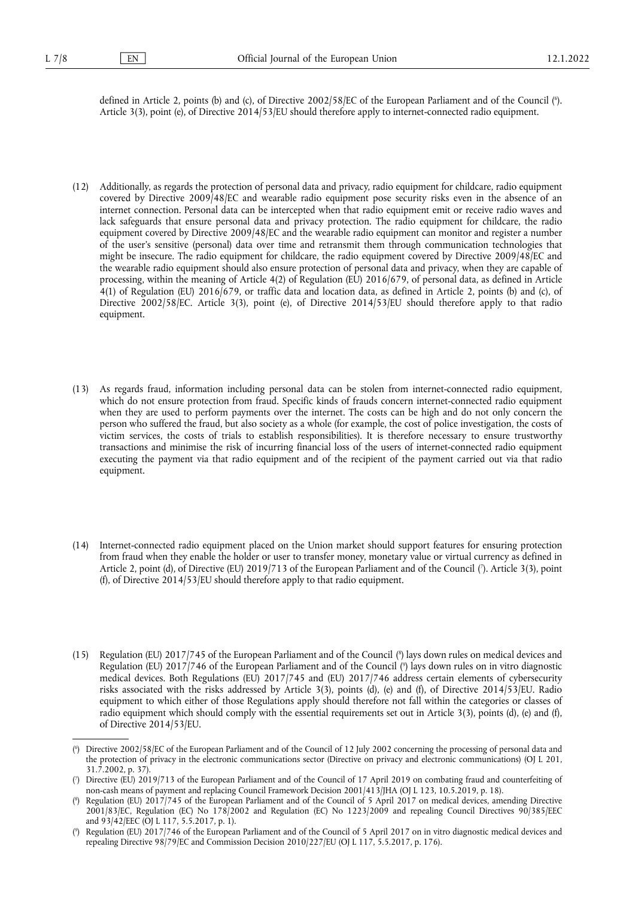<span id="page-2-4"></span>defined in Article 2, points (b) and (c), of Directive 2002/58/EC of the European Parliament and of the Council [\(](#page-2-0) 6 ). Article 3(3), point (e), of Directive 2014/53/EU should therefore apply to internet-connected radio equipment.

- (12) Additionally, as regards the protection of personal data and privacy, radio equipment for childcare, radio equipment covered by Directive 2009/48/EC and wearable radio equipment pose security risks even in the absence of an internet connection. Personal data can be intercepted when that radio equipment emit or receive radio waves and lack safeguards that ensure personal data and privacy protection. The radio equipment for childcare, the radio equipment covered by Directive 2009/48/EC and the wearable radio equipment can monitor and register a number of the user's sensitive (personal) data over time and retransmit them through communication technologies that might be insecure. The radio equipment for childcare, the radio equipment covered by Directive 2009/48/EC and the wearable radio equipment should also ensure protection of personal data and privacy, when they are capable of processing, within the meaning of Article 4(2) of Regulation (EU) 2016/679, of personal data, as defined in Article 4(1) of Regulation (EU) 2016/679, or traffic data and location data, as defined in Article 2, points (b) and (c), of Directive 2002/58/EC. Article 3(3), point (e), of Directive 2014/53/EU should therefore apply to that radio equipment.
- (13) As regards fraud, information including personal data can be stolen from internet-connected radio equipment, which do not ensure protection from fraud. Specific kinds of frauds concern internet-connected radio equipment when they are used to perform payments over the internet. The costs can be high and do not only concern the person who suffered the fraud, but also society as a whole (for example, the cost of police investigation, the costs of victim services, the costs of trials to establish responsibilities). It is therefore necessary to ensure trustworthy transactions and minimise the risk of incurring financial loss of the users of internet-connected radio equipment executing the payment via that radio equipment and of the recipient of the payment carried out via that radio equipment.
- <span id="page-2-5"></span>(14) Internet-connected radio equipment placed on the Union market should support features for ensuring protection from fraud when they enable the holder or user to transfer money, monetary value or virtual currency as defined in Article 2, point (d), of Directive (EU) 2019/713 of the European Parliament and of the Council ( 7 [\).](#page-2-1) Article 3(3), point (f), of Directive 2014/53/EU should therefore apply to that radio equipment.
- <span id="page-2-7"></span><span id="page-2-6"></span>(15) Regulation (EU) 2017/745 of the European Parliament and of the Council [\(](#page-2-2) 8 ) lays down rules on medical devices and Regulation (EU) 2017/746 of the European Parliament and of the Council [\(](#page-2-3) 9 ) lays down rules on in vitro diagnostic medical devices. Both Regulations (EU) 2017/745 and (EU) 2017/746 address certain elements of cybersecurity risks associated with the risks addressed by Article 3(3), points (d), (e) and (f), of Directive 2014/53/EU. Radio equipment to which either of those Regulations apply should therefore not fall within the categories or classes of radio equipment which should comply with the essential requirements set out in Article 3(3), points (d), (e) and (f), of Directive 2014/53/EU.

<span id="page-2-0"></span>[<sup>\(</sup>](#page-2-4) 6 ) Directive 2002/58/EC of the European Parliament and of the Council of 12 July 2002 concerning the processing of personal data and the protection of privacy in the electronic communications sector (Directive on privacy and electronic communications) (OJ L 201, 31.7.2002, p. 37).

<span id="page-2-1"></span>[<sup>\(</sup>](#page-2-5) 7 ) Directive (EU) 2019/713 of the European Parliament and of the Council of 17 April 2019 on combating fraud and counterfeiting of non-cash means of payment and replacing Council Framework Decision 2001/413/JHA (OJ L 123, 10.5.2019, p. 18).

<span id="page-2-2"></span>[<sup>\(</sup>](#page-2-6) 8 ) Regulation (EU) 2017/745 of the European Parliament and of the Council of 5 April 2017 on medical devices, amending Directive 2001/83/EC, Regulation (EC) No 178/2002 and Regulation (EC) No 1223/2009 and repealing Council Directives 90/385/EEC and 93/42/EEC (OJ L 117, 5.5.2017, p. 1).

<span id="page-2-3"></span>[<sup>\(</sup>](#page-2-7) 9 ) Regulation (EU) 2017/746 of the European Parliament and of the Council of 5 April 2017 on in vitro diagnostic medical devices and repealing Directive 98/79/EC and Commission Decision 2010/227/EU (OJ L 117, 5.5.2017, p. 176).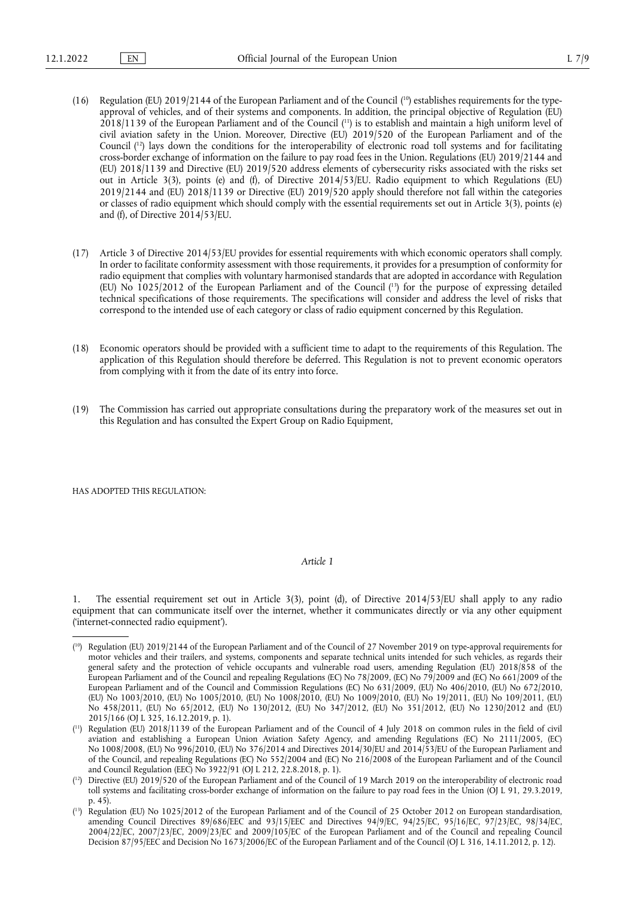- <span id="page-3-6"></span><span id="page-3-5"></span><span id="page-3-4"></span>(16) Regulation (EU) 2019/2144 of the European Parliament and of the Council ( $^{10}$ ) establishes requirements for the typeapproval of vehicles, and of their systems and components. In addition, the principal objective of Regulation (EU) 2018/1139 of the European Parliament and of the Council ( [11\)](#page-3-1) is to establish and maintain a high uniform level of civil aviation safety in the Union. Moreover, Directive (EU) 2019/520 of the European Parliament and of the Council  $(1^2)$  lays down the conditions for the interoperability of electronic road toll systems and for facilitating cross-border exchange of information on the failure to pay road fees in the Union. Regulations (EU) 2019/2144 and (EU) 2018/1139 and Directive (EU) 2019/520 address elements of cybersecurity risks associated with the risks set out in Article 3(3), points (e) and (f), of Directive 2014/53/EU. Radio equipment to which Regulations (EU) 2019/2144 and (EU) 2018/1139 or Directive (EU) 2019/520 apply should therefore not fall within the categories or classes of radio equipment which should comply with the essential requirements set out in Article 3(3), points (e) and (f), of Directive 2014/53/EU.
- <span id="page-3-7"></span>(17) Article 3 of Directive 2014/53/EU provides for essential requirements with which economic operators shall comply. In order to facilitate conformity assessment with those requirements, it provides for a presumption of conformity for radio equipment that complies with voluntary harmonised standards that are adopted in accordance with Regulation (EU) No 1025/2012 of the European Parliament and of the Council ( [13\)](#page-3-3) for the purpose of expressing detailed technical specifications of those requirements. The specifications will consider and address the level of risks that correspond to the intended use of each category or class of radio equipment concerned by this Regulation.
- (18) Economic operators should be provided with a sufficient time to adapt to the requirements of this Regulation. The application of this Regulation should therefore be deferred. This Regulation is not to prevent economic operators from complying with it from the date of its entry into force.
- (19) The Commission has carried out appropriate consultations during the preparatory work of the measures set out in this Regulation and has consulted the Expert Group on Radio Equipment,

HAS ADOPTED THIS REGULATION:

#### *Article 1*

1. The essential requirement set out in Article 3(3), point (d), of Directive 2014/53/EU shall apply to any radio equipment that can communicate itself over the internet, whether it communicates directly or via any other equipment ('internet-connected radio equipment').

<span id="page-3-0"></span><sup>(</sup> [10\)](#page-3-4) Regulation (EU) 2019/2144 of the European Parliament and of the Council of 27 November 2019 on type-approval requirements for motor vehicles and their trailers, and systems, components and separate technical units intended for such vehicles, as regards their general safety and the protection of vehicle occupants and vulnerable road users, amending Regulation (EU) 2018/858 of the European Parliament and of the Council and repealing Regulations (EC) No 78/2009, (EC) No 79/2009 and (EC) No 661/2009 of the European Parliament and of the Council and Commission Regulations (EC) No 631/2009, (EU) No 406/2010, (EU) No 672/2010, (EU) No 1003/2010, (EU) No 1005/2010, (EU) No 1008/2010, (EU) No 1009/2010, (EU) No 19/2011, (EU) No 109/2011, (EU) No 458/2011, (EU) No 65/2012, (EU) No 130/2012, (EU) No 347/2012, (EU) No 351/2012, (EU) No 1230/2012 and (EU) 2015/166 (OJ L 325, 16.12.2019, p. 1).

<span id="page-3-1"></span><sup>(</sup> [11\)](#page-3-5) Regulation (EU) 2018/1139 of the European Parliament and of the Council of 4 July 2018 on common rules in the field of civil aviation and establishing a European Union Aviation Safety Agency, and amending Regulations (EC) No 2111/2005, (EC) No 1008/2008, (EU) No 996/2010, (EU) No 376/2014 and Directives 2014/30/EU and 2014/53/EU of the European Parliament and of the Council, and repealing Regulations (EC) No 552/2004 and (EC) No 216/2008 of the European Parliament and of the Council and Council Regulation (EEC) No 3922/91 (OJ L 212, 22.8.2018, p. 1).

<span id="page-3-2"></span><sup>(</sup> [12\)](#page-3-6) Directive (EU) 2019/520 of the European Parliament and of the Council of 19 March 2019 on the interoperability of electronic road toll systems and facilitating cross-border exchange of information on the failure to pay road fees in the Union (OJ L 91, 29.3.2019, p. 45).

<span id="page-3-3"></span><sup>(</sup> [13\)](#page-3-7) Regulation (EU) No 1025/2012 of the European Parliament and of the Council of 25 October 2012 on European standardisation, amending Council Directives 89/686/EEC and 93/15/EEC and Directives 94/9/EC, 94/25/EC, 95/16/EC, 97/23/EC, 98/34/EC, 2004/22/EC, 2007/23/EC, 2009/23/EC and 2009/105/EC of the European Parliament and of the Council and repealing Council Decision 87/95/EEC and Decision No 1673/2006/EC of the European Parliament and of the Council (OJ L 316, 14.11.2012, p. 12).